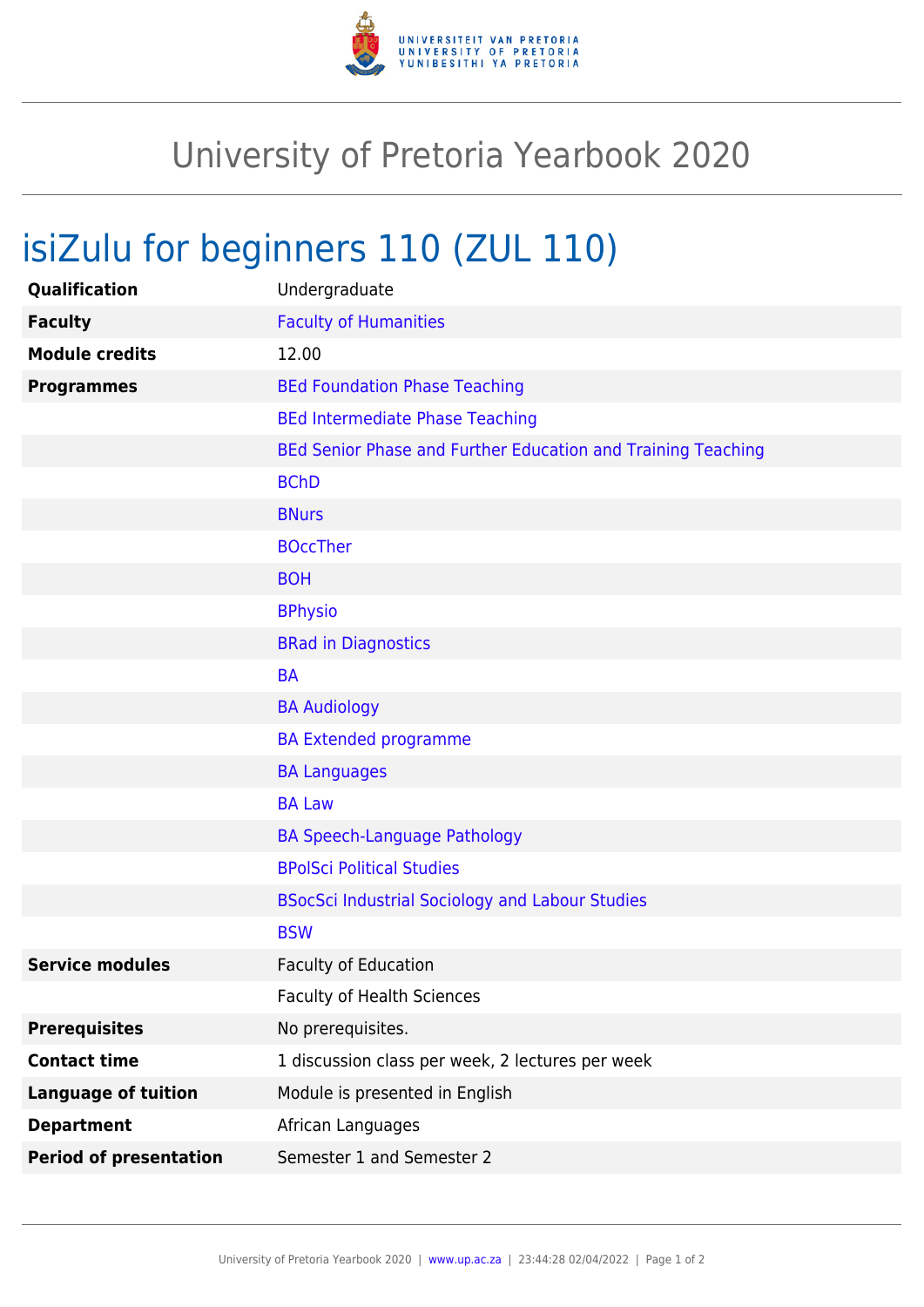

## University of Pretoria Yearbook 2020

## isiZulu for beginners 110 (ZUL 110)

| Qualification                 | Undergraduate                                                |
|-------------------------------|--------------------------------------------------------------|
| <b>Faculty</b>                | <b>Faculty of Humanities</b>                                 |
| <b>Module credits</b>         | 12.00                                                        |
| <b>Programmes</b>             | <b>BEd Foundation Phase Teaching</b>                         |
|                               | <b>BEd Intermediate Phase Teaching</b>                       |
|                               | BEd Senior Phase and Further Education and Training Teaching |
|                               | <b>BChD</b>                                                  |
|                               | <b>BNurs</b>                                                 |
|                               | <b>BOccTher</b>                                              |
|                               | <b>BOH</b>                                                   |
|                               | <b>BPhysio</b>                                               |
|                               | <b>BRad in Diagnostics</b>                                   |
|                               | <b>BA</b>                                                    |
|                               | <b>BA Audiology</b>                                          |
|                               | <b>BA Extended programme</b>                                 |
|                               | <b>BA Languages</b>                                          |
|                               | <b>BA Law</b>                                                |
|                               | <b>BA Speech-Language Pathology</b>                          |
|                               | <b>BPolSci Political Studies</b>                             |
|                               | <b>BSocSci Industrial Sociology and Labour Studies</b>       |
|                               | <b>BSW</b>                                                   |
| <b>Service modules</b>        | <b>Faculty of Education</b>                                  |
|                               | <b>Faculty of Health Sciences</b>                            |
| <b>Prerequisites</b>          | No prerequisites.                                            |
| <b>Contact time</b>           | 1 discussion class per week, 2 lectures per week             |
| <b>Language of tuition</b>    | Module is presented in English                               |
| <b>Department</b>             | African Languages                                            |
| <b>Period of presentation</b> | Semester 1 and Semester 2                                    |
|                               |                                                              |